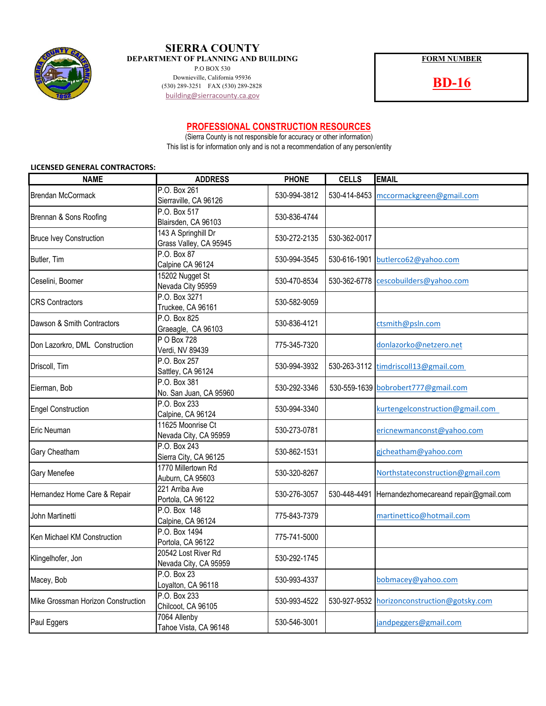

## **SIERRA COUNTY DEPARTMENT OF PLANNING AND BUILDING FORM NUMBER**

P.O BOX 530 Downieville, California 95936 Downieville, California 95936<br>
(530) 289-2828 **BD-16**<br> **BD-16** building@sierracounty.ca.gov

## **PROFESSIONAL CONSTRUCTION RESOURCES**

This list is for information only and is not a recommendation of any person/entity (Sierra County is not responsible for accuracy or other information)

### **LICENSED GENERAL CONTRACTORS:**

| <b>NAME</b>                        | <b>ADDRESS</b>                                | <b>PHONE</b> | <b>CELLS</b> | <b>EMAIL</b>                                       |
|------------------------------------|-----------------------------------------------|--------------|--------------|----------------------------------------------------|
| <b>Brendan McCormack</b>           | P.O. Box 261<br>Sierraville, CA 96126         | 530-994-3812 |              | 530-414-8453 mccormackgreen@gmail.com              |
| Brennan & Sons Roofing             | P.O. Box 517<br>Blairsden, CA 96103           | 530-836-4744 |              |                                                    |
| <b>Bruce Ivey Construction</b>     | 143 A Springhill Dr<br>Grass Valley, CA 95945 | 530-272-2135 | 530-362-0017 |                                                    |
| Butler, Tim                        | P.O. Box 87<br>Calpine CA 96124               | 530-994-3545 |              | 530-616-1901 butlerco62@yahoo.com                  |
| Ceselini, Boomer                   | 15202 Nugget St<br>Nevada City 95959          | 530-470-8534 |              | 530-362-6778 cescobuilders@yahoo.com               |
| <b>CRS Contractors</b>             | P.O. Box 3271<br>Truckee, CA 96161            | 530-582-9059 |              |                                                    |
| Dawson & Smith Contractors         | P.O. Box 825<br>Graeagle, CA 96103            | 530-836-4121 |              | ctsmith@psln.com                                   |
| Don Lazorkro, DML Construction     | P O Box 728<br>Verdi, NV 89439                | 775-345-7320 |              | donlazorko@netzero.net                             |
| Driscoll, Tim                      | P.O. Box 257<br>Sattley, CA 96124             | 530-994-3932 |              | 530-263-3112 timdriscoll13@gmail.com               |
| Eierman, Bob                       | P.O. Box 381<br>No. San Juan, CA 95960        | 530-292-3346 |              | 530-559-1639 bobrobert777@gmail.com                |
| <b>Engel Construction</b>          | P.O. Box 233<br>Calpine, CA 96124             | 530-994-3340 |              | kurtengelconstruction@gmail.com                    |
| Eric Neuman                        | 11625 Moonrise Ct<br>Nevada City, CA 95959    | 530-273-0781 |              | ericnewmanconst@yahoo.com                          |
| Gary Cheatham                      | P.O. Box 243<br>Sierra City, CA 96125         | 530-862-1531 |              | gicheatham@yahoo.com                               |
| Gary Menefee                       | 1770 Millertown Rd<br>Auburn, CA 95603        | 530-320-8267 |              | Northstateconstruction@gmail.com                   |
| Hernandez Home Care & Repair       | 221 Arriba Ave<br>Portola, CA 96122           | 530-276-3057 |              | 530-448-4491 Hernandezhomecareand repair@gmail.com |
| John Martinetti                    | P.O. Box 148<br>Calpine, CA 96124             | 775-843-7379 |              | martinettico@hotmail.com                           |
| Ken Michael KM Construction        | P.O. Box 1494<br>Portola, CA 96122            | 775-741-5000 |              |                                                    |
| Klingelhofer, Jon                  | 20542 Lost River Rd<br>Nevada City, CA 95959  | 530-292-1745 |              |                                                    |
| Macey, Bob                         | P.O. Box 23<br>Loyalton, CA 96118             | 530-993-4337 |              | bohmacey@yahoo.com                                 |
| Mike Grossman Horizon Construction | P.O. Box 233<br>Chilcoot, CA 96105            | 530-993-4522 | 530-927-9532 | horizonconstruction@gotsky.com                     |
| Paul Eggers                        | 7064 Allenby<br>Tahoe Vista, CA 96148         | 530-546-3001 |              | jandpeggers@gmail.com                              |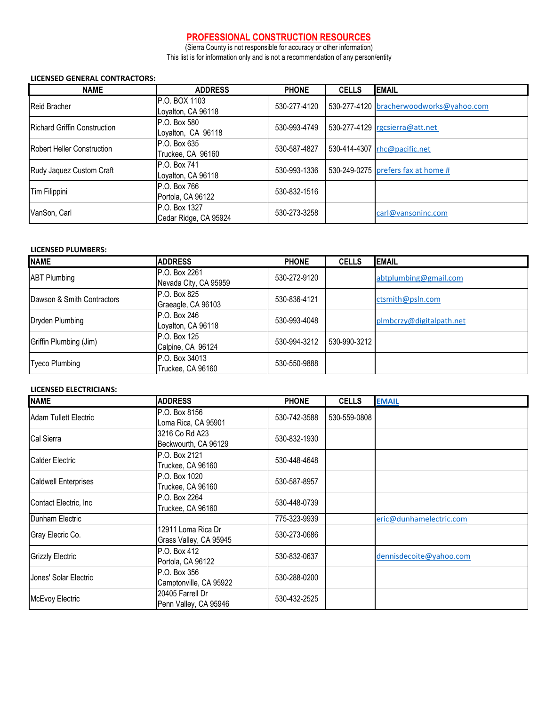# **PROFESSIONAL CONSTRUCTION RESOURCES**

(Sierra County is not responsible for accuracy or other information) This list is for information only and is not a recommendation of any person/entity

#### **LICENSED GENERAL CONTRACTORS:**

| <b>NAME</b>                         | <b>ADDRESS</b>                         | <b>PHONE</b> | <b>CELLS</b> | <b>EMAIL</b>                            |
|-------------------------------------|----------------------------------------|--------------|--------------|-----------------------------------------|
| <b>Reid Bracher</b>                 | P.O. BOX 1103<br>Loyalton, CA 96118    | 530-277-4120 |              | 530-277-4120 bracherwoodworks@yahoo.com |
| <b>Richard Griffin Construction</b> | P.O. Box 580<br>Loyalton, CA 96118     | 530-993-4749 |              | 530-277-4129 rgcsierra@att.net          |
| <b>Robert Heller Construction</b>   | P.O. Box 635<br>Truckee, CA 96160      | 530-587-4827 |              | 530-414-4307   rhc@pacific.net          |
| Rudy Jaquez Custom Craft            | P.O. Box 741<br>Loyalton, CA 96118     | 530-993-1336 |              | 530-249-0275 prefers fax at home #      |
| Tim Filippini                       | P.O. Box 766<br>Portola, CA 96122      | 530-832-1516 |              |                                         |
| VanSon, Carl                        | P.O. Box 1327<br>Cedar Ridge, CA 95924 | 530-273-3258 |              | carl@vansoninc.com                      |

#### **LICENSED PLUMBERS:**

| <b>NAME</b>                | <b>ADDRESS</b>                         | <b>PHONE</b> | <b>CELLS</b> | <b>EMAIL</b>             |
|----------------------------|----------------------------------------|--------------|--------------|--------------------------|
| <b>ABT</b> Plumbing        | P.O. Box 2261<br>Nevada City, CA 95959 | 530-272-9120 |              | abtplumbing@gmail.com    |
| Dawson & Smith Contractors | P.O. Box 825<br>Graeagle, CA 96103     | 530-836-4121 |              | ctsmith@psln.com         |
| Dryden Plumbing            | P.O. Box 246<br>Loyalton, CA 96118     | 530-993-4048 |              | plmbcrzy@digitalpath.net |
| Griffin Plumbing (Jim)     | P.O. Box 125<br>Calpine, CA 96124      | 530-994-3212 | 530-990-3212 |                          |
| <b>Tyeco Plumbing</b>      | P.O. Box 34013<br>Truckee, CA 96160    | 530-550-9888 |              |                          |

### **LICENSED ELECTRICIANS:**

| <b>NAME</b>                 | <b>ADDRESS</b>                               | <b>PHONE</b> | <b>CELLS</b> | <b>EMAIL</b>            |
|-----------------------------|----------------------------------------------|--------------|--------------|-------------------------|
| Adam Tullett Electric       | P.O. Box 8156<br>Loma Rica, CA 95901         | 530-742-3588 | 530-559-0808 |                         |
| Cal Sierra                  | 3216 Co Rd A23<br>Beckwourth, CA 96129       | 530-832-1930 |              |                         |
| <b>Calder Electric</b>      | P.O. Box 2121<br>Truckee, CA 96160           | 530-448-4648 |              |                         |
| <b>Caldwell Enterprises</b> | P.O. Box 1020<br>Truckee, CA 96160           | 530-587-8957 |              |                         |
| Contact Electric, Inc.      | P.O. Box 2264<br>Truckee, CA 96160           | 530-448-0739 |              |                         |
| Dunham Electric             |                                              | 775-323-9939 |              | eric@dunhamelectric.com |
| Gray Elecric Co.            | 12911 Loma Rica Dr<br>Grass Valley, CA 95945 | 530-273-0686 |              |                         |
| <b>Grizzly Electric</b>     | P.O. Box 412<br>Portola, CA 96122            | 530-832-0637 |              | dennisdecoite@yahoo.com |
| Jones' Solar Electric       | P.O. Box 356<br>Camptonville, CA 95922       | 530-288-0200 |              |                         |
| <b>McEvoy Electric</b>      | 20405 Farrell Dr<br>Penn Valley, CA 95946    | 530-432-2525 |              |                         |